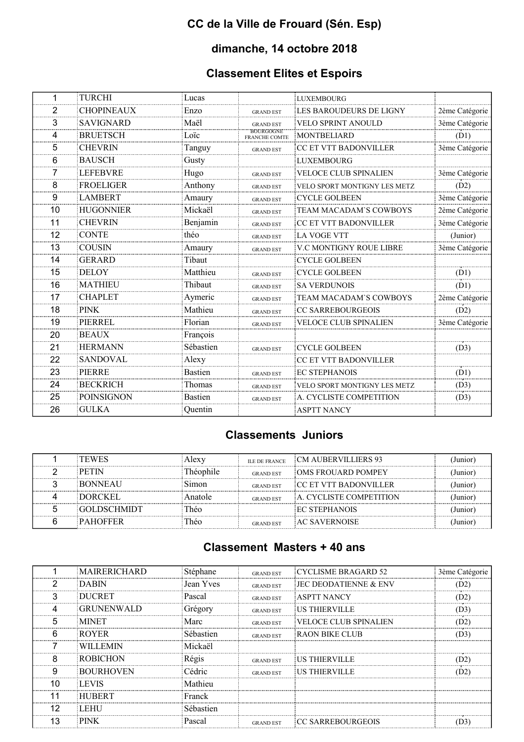# **CC de la Ville de Frouard (Sén. Esp)**

### **dimanche, 14 octobre 2018**

### **Classement Elites et Espoirs**

|    | <b>TURCHI</b>     | Lucas     |                            | LUXEMBOURG                          |                |
|----|-------------------|-----------|----------------------------|-------------------------------------|----------------|
| 2  | CHOPINEAUX        | Enzo      | <b>GRAND EST</b>           | LES BAROUDEURS DE LIGNY             | 2ème Catégorie |
| 3  | <b>SAVIGNARD</b>  | Maël      | <b>GRAND EST</b>           | <b>VELO SPRINT ANOULD</b>           | 3ème Catégorie |
| 4  | <b>BRUETSCH</b>   | Loïc      | BOURGOGNE<br>FRANCHE COMTE | <b>MONTBELIARD</b>                  | (D1)           |
| 5  | <b>CHEVRIN</b>    | Tanguy    | <b>GRAND EST</b>           | <b>CC ET VTT BADONVILLER</b>        | 3ème Catégorie |
| 6  | <b>BAUSCH</b>     | Gusty     |                            | LUXEMBOURG                          |                |
|    | <b>LEFEBVRE</b>   | Hugo      | <b>GRAND EST</b>           | <b>VELOCE CLUB SPINALIEN</b>        | 3ème Catégorie |
| 8  | <b>FROELIGER</b>  | Anthony   | <b>GRAND EST</b>           | VELO SPORT MONTIGNY LES METZ        | (D2)           |
| 9  | LAMBERT           | Amaury    | <b>GRAND EST</b>           | <b>CYCLE GOLBEEN</b>                | 3ème Catégorie |
| 10 | <b>HUGONNIER</b>  | Mickaël   | <b>GRAND EST</b>           | <b>TEAM MACADAM'S COWBOYS</b>       | 2ème Catégorie |
| 11 | <b>CHEVRIN</b>    | Benjamin  | <b>GRAND EST</b>           | <b>CC ET VTT BADONVILLER</b>        | 3ème Catégorie |
| 12 | CONTE             | théo      | <b>GRAND EST</b>           | <b>LA VOGE VTT</b>                  | (Junior)       |
| 13 | COUSIN            | Amaury    | <b>GRAND EST</b>           | V.C MONTIGNY ROUE LIBRE             | 3ème Catégorie |
| 14 | <b>GERARD</b>     | Tibaut    |                            | CYCLE GOLBEEN                       |                |
| 15 | <b>DELOY</b>      | Matthieu  | <b>GRAND EST</b>           | CYCLE GOLBEEN                       | (D1)           |
| 16 | <b>MATHIEL</b>    | Thibaut   | <b>GRAND EST</b>           | <b>SA VERDUNOIS</b>                 | (D1)           |
| 17 | <b>CHAPLET</b>    | Aymeric   | <b>GRAND EST</b>           | TEAM MACADAM'S COWBOYS              | 2ème Catégorie |
| 18 | <b>PINK</b>       | Mathieu   | <b>GRAND EST</b>           | <b>CC SARREBOURGEOIS</b>            | (D2)           |
| 19 | PIERREL           | Florian   | <b>GRAND EST</b>           | <b>VELOCE CLUB SPINALIEN</b>        | 3ème Catégorie |
| 20 | BEAUX             | François  |                            |                                     |                |
| 21 | <b>HERMANN</b>    | Sébastien | <b>GRAND EST</b>           | <b>CYCLE GOLBEEN</b>                | (D3)           |
| 22 | <b>SANDOVAL</b>   | Alexy     |                            | CC ET VTT BADONVILLER               |                |
| 23 | PIERRE            | Bastien   | <b>GRAND EST</b>           | <b>EC STEPHANOIS</b>                | (D1)           |
| 24 | <b>BECKRICH</b>   | Thomas    | <b>GRAND EST</b>           | <b>VELO SPORT MONTIGNY LES METZ</b> | (D3)           |
| 25 | <b>POINSIGNON</b> | Bastien   | <b>GRAND EST</b>           | A. CYCLISTE COMPETITION             | (D3)           |
| 26 | GULKA             | Ouentin   |                            | <b>ASPTT NANCY</b>                  |                |

#### **Classements Juniors**

| <b>TEWES</b>       | Alexy     | <b>ILE DE FRANCE</b> | <b>CM AUBERVILLIERS 93</b>    | (Junior)            |
|--------------------|-----------|----------------------|-------------------------------|---------------------|
| <b>PETIN</b>       | Théophile | <b>GRAND EST</b>     | OMS FROUARD POMPEY            | Junior)             |
| <b>BONNEAU</b>     | Simon     | <b>GRAND EST</b>     | <b>ECC ET VTT BADONVILLER</b> | Junior)             |
| DORCKEL            | Anatole   | <b>GRAND EST</b>     | A. CYCLISTE COMPETITION       | Junior <sup>1</sup> |
| <b>GOLDSCHMIDT</b> | 'Théo     |                      | <b>EC STEPHANOIS</b>          | Junior              |
| <b>PAHOFFER</b>    | Théo      | <b>GRAND EST</b>     | AC SAVERNOISE                 | Junior`             |

# **Classement Masters + 40 ans**

|     | <b>MAIRERICHARD</b> | Stéphane  | <b>GRAND EST</b> | CYCLISME BRAGARD 52   | 3ème Catégorie |
|-----|---------------------|-----------|------------------|-----------------------|----------------|
|     | <b>DABIN</b>        | Jean Yves | <b>GRAND EST</b> | JEC DEODATIENNE & ENV | (D2)           |
| З   | <b>DUCRET</b>       | Pascal    | <b>GRAND EST</b> | ASPTT NANCY:          | (D2)           |
|     | <b>GRUNENWALD</b>   | Grégory   | <b>GRAND EST</b> | US THIERVILLE         | (D3)           |
| 5   | <b>MINET</b>        | Marc      | <b>GRAND EST</b> | VELOCE CLUB SPINALIEN | (D2)           |
| 6   | <b>ROYER</b>        | Sébastien | <b>GRAND EST</b> | RAON BIKE CLUB        | (D3)           |
|     | <b>WILLEMIN</b>     | Mickaël   |                  |                       |                |
|     | <b>ROBICHON</b>     | Régis     | <b>GRAND EST</b> | US THIERVILLE         | (D2)           |
| я   | <b>BOURHOVEN</b>    | Cédric    | <b>GRANDEST</b>  | US THIERVILLE!        | (D2)           |
| 10  | <b>LEVIS</b>        | Mathieu   |                  |                       |                |
| 11  | <b>HUBERT</b>       | Franck    |                  |                       |                |
| 12  | <b>LEHU</b>         | Sébastien |                  |                       |                |
| 13. | <b>PINK</b>         | Pascal    | <b>GRAND EST</b> | CC SARREBOURGEOIS     | (D3)           |